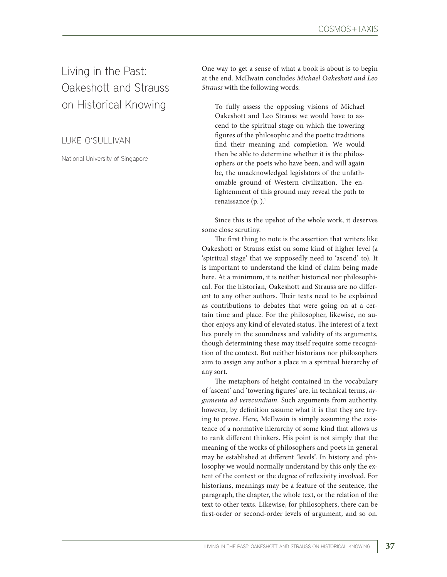Living in the Past: Oakeshott and Strauss on Historical Knowing

[L](https://www.uva.nl/en/profile/s/c/e.s.schliesser/e.s.schliesser.html?cb)UKE O'SULLIVAN

National University of Singapore

One way to get a sense of what a book is about is to begin at the end. McIlwain concludes *Michael Oakeshott and Leo Strauss* with the following words:

To fully assess the opposing visions of Michael Oakeshott and Leo Strauss we would have to ascend to the spiritual stage on which the towering figures of the philosophic and the poetic traditions find their meaning and completion. We would then be able to determine whether it is the philosophers or the poets who have been, and will again be, the unacknowledged legislators of the unfathomable ground of Western civilization. The enlightenment of this ground may reveal the path to renaissance  $(p. )$ .<sup>1</sup>

Since this is the upshot of the whole work, it deserves some close scrutiny.

The first thing to note is the assertion that writers like Oakeshott or Strauss exist on some kind of higher level (a 'spiritual stage' that we supposedly need to 'ascend' to). It is important to understand the kind of claim being made here. At a minimum, it is neither historical nor philosophical. For the historian, Oakeshott and Strauss are no different to any other authors. Their texts need to be explained as contributions to debates that were going on at a certain time and place. For the philosopher, likewise, no author enjoys any kind of elevated status. The interest of a text lies purely in the soundness and validity of its arguments, though determining these may itself require some recognition of the context. But neither historians nor philosophers aim to assign any author a place in a spiritual hierarchy of any sort.

The metaphors of height contained in the vocabulary of 'ascent' and 'towering figures' are, in technical terms, *argumenta ad verecundiam*. Such arguments from authority, however, by definition assume what it is that they are trying to prove. Here, McIlwain is simply assuming the existence of a normative hierarchy of some kind that allows us to rank different thinkers. His point is not simply that the meaning of the works of philosophers and poets in general may be established at different 'levels'. In history and philosophy we would normally understand by this only the extent of the context or the degree of reflexivity involved. For historians, meanings may be a feature of the sentence, the paragraph, the chapter, the whole text, or the relation of the text to other texts. Likewise, for philosophers, there can be first-order or second-order levels of argument, and so on.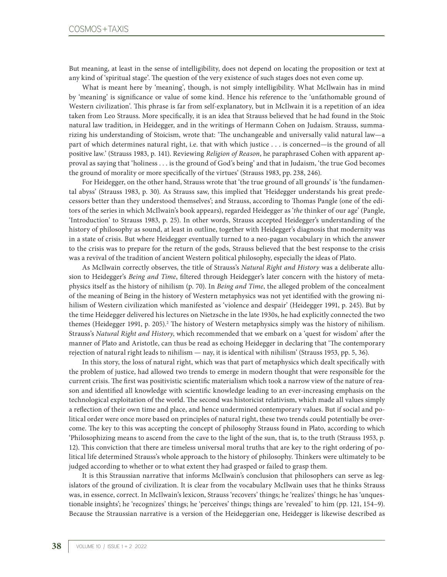But meaning, at least in the sense of intelligibility, does not depend on locating the proposition or text at any kind of 'spiritual stage'. The question of the very existence of such stages does not even come up.

What is meant here by 'meaning', though, is not simply intelligibility. What McIlwain has in mind by 'meaning' is significance or value of some kind. Hence his reference to the 'unfathomable ground of Western civilization'. This phrase is far from self-explanatory, but in McIlwain it is a repetition of an idea taken from Leo Strauss. More specifically, it is an idea that Strauss believed that he had found in the Stoic natural law tradition, in Heidegger, and in the writings of Hermann Cohen on Judaism. Strauss, summarizing his understanding of Stoicism, wrote that: 'The unchangeable and universally valid natural law—a part of which determines natural right, i.e. that with which justice . . . is concerned—is the ground of all positive law.' (Strauss 1983, p. 141). Reviewing *Religion of Reason*, he paraphrased Cohen with apparent approval as saying that 'holiness . . . is the ground of God's being' and that in Judaism, 'the true God becomes the ground of morality or more specifically of the virtues' (Strauss 1983, pp. 238, 246).

For Heidegger, on the other hand, Strauss wrote that 'the true ground of all grounds' is 'the fundamental abyss' (Strauss 1983, p. 30). As Strauss saw, this implied that 'Heidegger understands his great predecessors better than they understood themselves'; and Strauss, according to Thomas Pangle (one of the editors of the series in which McIlwain's book appears), regarded Heidegger as '*the* thinker of our age' (Pangle, 'Introduction' to Strauss 1983, p. 25). In other words, Strauss accepted Heidegger's understanding of the history of philosophy as sound, at least in outline, together with Heidegger's diagnosis that modernity was in a state of crisis. But where Heidegger eventually turned to a neo-pagan vocabulary in which the answer to the crisis was to prepare for the return of the gods, Strauss believed that the best response to the crisis was a revival of the tradition of ancient Western political philosophy, especially the ideas of Plato.

As McIlwain correctly observes, the title of Strauss's *Natural Right and History* was a deliberate allusion to Heidegger's *Being and Time*, filtered through Heidegger's later concern with the history of metaphysics itself as the history of nihilism (p. 70). In *Being and Time*, the alleged problem of the concealment of the meaning of Being in the history of Western metaphysics was not yet identified with the growing nihilism of Western civilization which manifested as 'violence and despair' (Heidegger 1991, p. 245). But by the time Heidegger delivered his lectures on Nietzsche in the late 1930s, he had explicitly connected the two themes (Heidegger 1991, p. 205).<sup>2</sup> The history of Western metaphysics simply was the history of nihilism. Strauss's *Natural Right and History*, which recommended that we embark on a 'quest for wisdom' after the manner of Plato and Aristotle, can thus be read as echoing Heidegger in declaring that 'The contemporary rejection of natural right leads to nihilism — nay, it is identical with nihilism' (Strauss 1953, pp. 5, 36).

In this story, the loss of natural right, which was that part of metaphysics which dealt specifically with the problem of justice, had allowed two trends to emerge in modern thought that were responsible for the current crisis. The first was positivistic scientific materialism which took a narrow view of the nature of reason and identified all knowledge with scientific knowledge leading to an ever-increasing emphasis on the technological exploitation of the world. The second was historicist relativism, which made all values simply a reflection of their own time and place, and hence undermined contemporary values. But if social and political order were once more based on principles of natural right, these two trends could potentially be overcome. The key to this was accepting the concept of philosophy Strauss found in Plato, according to which 'Philosophizing means to ascend from the cave to the light of the sun, that is, to the truth (Strauss 1953, p. 12). This conviction that there are timeless universal moral truths that are key to the right ordering of political life determined Strauss's whole approach to the history of philosophy. Thinkers were ultimately to be judged according to whether or to what extent they had grasped or failed to grasp them.

It is this Straussian narrative that informs McIlwain's conclusion that philosophers can serve as legislators of the ground of civilization. It is clear from the vocabulary McIlwain uses that he thinks Strauss was, in essence, correct. In McIlwain's lexicon, Strauss 'recovers' things; he 'realizes' things; he has 'unquestionable insights'; he 'recognizes' things; he 'perceives' things; things are 'revealed' to him (pp. 121, 154–9). Because the Straussian narrative is a version of the Heideggerian one, Heidegger is likewise described as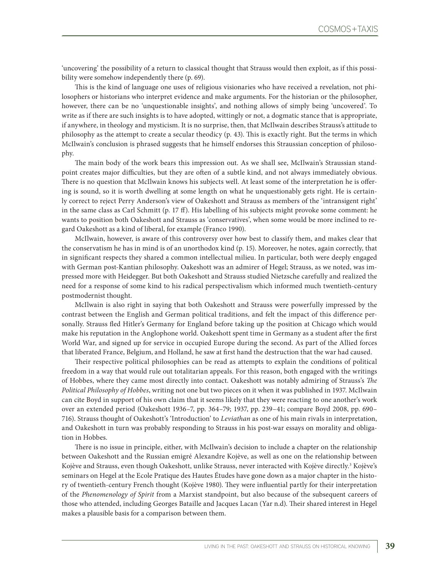'uncovering' the possibility of a return to classical thought that Strauss would then exploit, as if this possibility were somehow independently there (p. 69).

This is the kind of language one uses of religious visionaries who have received a revelation, not philosophers or historians who interpret evidence and make arguments. For the historian or the philosopher, however, there can be no 'unquestionable insights', and nothing allows of simply being 'uncovered'. To write as if there are such insights is to have adopted, wittingly or not, a dogmatic stance that is appropriate, if anywhere, in theology and mysticism. It is no surprise, then, that McIlwain describes Strauss's attitude to philosophy as the attempt to create a secular theodicy (p. 43). This is exactly right. But the terms in which McIlwain's conclusion is phrased suggests that he himself endorses this Straussian conception of philosophy.

The main body of the work bears this impression out. As we shall see, McIlwain's Straussian standpoint creates major difficulties, but they are often of a subtle kind, and not always immediately obvious. There is no question that McIlwain knows his subjects well. At least some of the interpretation he is offering is sound, so it is worth dwelling at some length on what he unquestionably gets right. He is certainly correct to reject Perry Anderson's view of Oakeshott and Strauss as members of the 'intransigent right' in the same class as Carl Schmitt (p. 17 ff). His labelling of his subjects might provoke some comment: he wants to position both Oakeshott and Strauss as 'conservatives', when some would be more inclined to regard Oakeshott as a kind of liberal, for example (Franco 1990).

McIlwain, however, is aware of this controversy over how best to classify them, and makes clear that the conservatism he has in mind is of an unorthodox kind (p. 15). Moreover, he notes, again correctly, that in significant respects they shared a common intellectual milieu. In particular, both were deeply engaged with German post-Kantian philosophy. Oakeshott was an admirer of Hegel; Strauss, as we noted, was impressed more with Heidegger. But both Oakeshott and Strauss studied Nietzsche carefully and realized the need for a response of some kind to his radical perspectivalism which informed much twentieth-century postmodernist thought.

McIlwain is also right in saying that both Oakeshott and Strauss were powerfully impressed by the contrast between the English and German political traditions, and felt the impact of this difference personally. Strauss fled Hitler's Germany for England before taking up the position at Chicago which would make his reputation in the Anglophone world. Oakeshott spent time in Germany as a student after the first World War, and signed up for service in occupied Europe during the second. As part of the Allied forces that liberated France, Belgium, and Holland, he saw at first hand the destruction that the war had caused.

Their respective political philosophies can be read as attempts to explain the conditions of political freedom in a way that would rule out totalitarian appeals. For this reason, both engaged with the writings of Hobbes, where they came most directly into contact. Oakeshott was notably admiring of Strauss's *The Political Philosophy of Hobbes*, writing not one but two pieces on it when it was published in 1937. McIlwain can cite Boyd in support of his own claim that it seems likely that they were reacting to one another's work over an extended period (Oakeshott 1936–7, pp. 364–79; 1937, pp. 239–41; compare Boyd 2008, pp. 690– 716). Strauss thought of Oakeshott's 'Introduction' to *Leviathan* as one of his main rivals in interpretation, and Oakeshott in turn was probably responding to Strauss in his post-war essays on morality and obligation in Hobbes.

There is no issue in principle, either, with McIlwain's decision to include a chapter on the relationship between Oakeshott and the Russian emigré Alexandre Kojève, as well as one on the relationship between Kojève and Strauss, even though Oakeshott, unlike Strauss, never interacted with Kojève directly.<sup>3</sup> Kojève's seminars on Hegel at the Ecole Pratique des Hautes Études have gone down as a major chapter in the history of twentieth-century French thought (Kojève 1980). They were influential partly for their interpretation of the *Phenomenology of Spirit* from a Marxist standpoint, but also because of the subsequent careers of those who attended, including Georges Bataille and Jacques Lacan (Yar n.d). Their shared interest in Hegel makes a plausible basis for a comparison between them.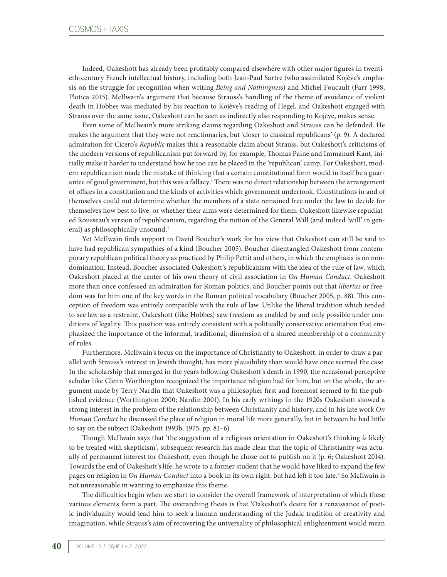Indeed, Oakeshott has already been profitably compared elsewhere with other major figures in twentieth-century French intellectual history, including both Jean-Paul Sartre (who assimilated Kojève's emphasis on the struggle for recognition when writing *Being and Nothingness*) and Michel Foucault (Farr 1998; Plotica 2015). McIlwain's argument that because Strauss's handling of the theme of avoidance of violent death in Hobbes was mediated by his reaction to Kojève's reading of Hegel, and Oakeshott engaged with Strauss over the same issue, Oakeshott can be seen as indirectly also responding to Kojève, makes sense.

Even some of McIlwain's more striking claims regarding Oakeshott and Strauss can be defended. He makes the argument that they were not reactionaries, but 'closer to classical republicans' (p. 9). A declared admiration for Cicero's *Republic* makes this a reasonable claim about Strauss, but Oakeshott's criticisms of the modern versions of republicanism put forward by, for example, Thomas Paine and Immanuel Kant, initially make it harder to understand how he too can be placed in the 'republican' camp. For Oakeshott, modern republicanism made the mistake of thinking that a certain constitutional form would in itself be a guarantee of good government, but this was a fallacy.4 There was no direct relationship between the arrangement of offices in a constitution and the kinds of activities which government undertook. Constitutions in and of themselves could not determine whether the members of a state remained free under the law to decide for themselves how best to live, or whether their aims were determined for them. Oakeshott likewise repudiated Rousseau's version of republicanism, regarding the notion of the General Will (and indeed 'will' in general) as philosophically unsound.<sup>5</sup>

Yet McIlwain finds support in David Boucher's work for his view that Oakeshott can still be said to have had republican sympathies of a kind (Boucher 2005). Boucher disentangled Oakeshott from contemporary republican political theory as practiced by Philip Pettit and others, in which the emphasis is on nondomination. Instead, Boucher associated Oakeshott's republicanism with the idea of the rule of law, which Oakeshott placed at the center of his own theory of civil association in *On Human Conduct*. Oakeshott more than once confessed an admiration for Roman politics, and Boucher points out that *libertas* or freedom was for him one of the key words in the Roman political vocabulary (Boucher 2005, p. 88). This conception of freedom was entirely compatible with the rule of law. Unlike the liberal tradition which tended to see law as a restraint, Oakeshott (like Hobbes) saw freedom as enabled by and only possible under conditions of legality. This position was entirely consistent with a politically conservative orientation that emphasized the importance of the informal, traditional, dimension of a shared membership of a community of rules.

Furthermore, McIlwain's focus on the importance of Christianity to Oakeshott, in order to draw a parallel with Strauss's interest in Jewish thought, has more plausibility than would have once seemed the case. In the scholarship that emerged in the years following Oakeshott's death in 1990, the occasional perceptive scholar like Glenn Worthington recognized the importance religion had for him, but on the whole, the argument made by Terry Nardin that Oakeshott was a philosopher first and foremost seemed to fit the published evidence (Worthington 2000; Nardin 2001). In his early writings in the 1920s Oakeshott showed a strong interest in the problem of the relationship between Christianity and history, and in his late work *On Human Conduct* he discussed the place of religion in moral life more generally, but in between he had little to say on the subject (Oakeshott 1993b, 1975, pp. 81–6).

Though McIlwain says that 'the suggestion of a religious orientation in Oakeshott's thinking *is* likely to be treated with skepticism', subsequent research has made clear that the topic of Christianity was actually of permanent interest for Oakeshott, even though he chose not to publish on it (p. 6; Oakeshott 2014). Towards the end of Oakeshott's life, he wrote to a former student that he would have liked to expand the few pages on religion in O*n Human Conduct* into a book in its own right, but had left it too late.<sup>6</sup> So McIlwain is not unreasonable in wanting to emphasize this theme.

The difficulties begin when we start to consider the overall framework of interpretation of which these various elements form a part. The overarching thesis is that 'Oakeshott's desire for a renaissance of poetic individuality would lead him to seek a human understanding of the Judaic tradition of creativity and imagination, while Strauss's aim of recovering the universality of philosophical enlightenment would mean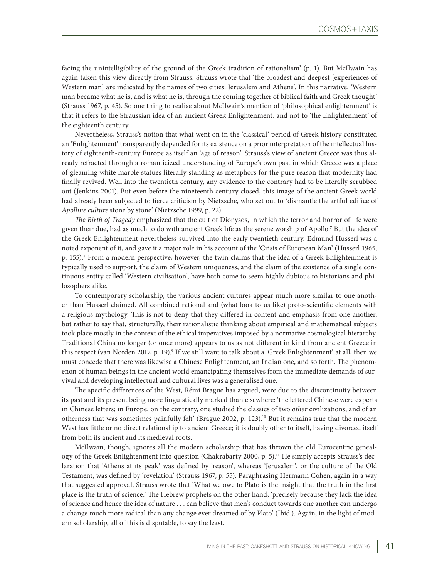facing the unintelligibility of the ground of the Greek tradition of rationalism' (p. 1). But McIlwain has again taken this view directly from Strauss. Strauss wrote that 'the broadest and deepest [experiences of Western man] are indicated by the names of two cities: Jerusalem and Athens'. In this narrative, 'Western man became what he is, and is what he is, through the coming together of biblical faith and Greek thought' (Strauss 1967, p. 45). So one thing to realise about McIlwain's mention of 'philosophical enlightenment' is that it refers to the Straussian idea of an ancient Greek Enlightenment, and not to 'the Enlightenment' of the eighteenth century.

Nevertheless, Strauss's notion that what went on in the 'classical' period of Greek history constituted an 'Enlightenment' transparently depended for its existence on a prior interpretation of the intellectual history of eighteenth-century Europe as itself an 'age of reason'. Strauss's view of ancient Greece was thus already refracted through a romanticized understanding of Europe's own past in which Greece was a place of gleaming white marble statues literally standing as metaphors for the pure reason that modernity had finally revived. Well into the twentieth century, any evidence to the contrary had to be literally scrubbed out (Jenkins 2001). But even before the nineteenth century closed, this image of the ancient Greek world had already been subjected to fierce criticism by Nietzsche, who set out to 'dismantle the artful edifice of *Apolline culture* stone by stone' (Nietzsche 1999, p. 22).

*The Birth of Tragedy* emphasized that the cult of Dionysos, in which the terror and horror of life were given their due, had as much to do with ancient Greek life as the serene worship of Apollo.7 But the idea of the Greek Enlightenment nevertheless survived into the early twentieth century. Edmund Husserl was a noted exponent of it, and gave it a major role in his account of the 'Crisis of European Man' (Husserl 1965, p. 155).8 From a modern perspective, however, the twin claims that the idea of a Greek Enlightenment is typically used to support, the claim of Western uniqueness, and the claim of the existence of a single continuous entity called 'Western civilisation', have both come to seem highly dubious to historians and philosophers alike.

To contemporary scholarship, the various ancient cultures appear much more similar to one another than Husserl claimed. All combined rational and (what look to us like) proto-scientific elements with a religious mythology. This is not to deny that they differed in content and emphasis from one another, but rather to say that, structurally, their rationalistic thinking about empirical and mathematical subjects took place mostly in the context of the ethical imperatives imposed by a normative cosmological hierarchy. Traditional China no longer (or once more) appears to us as not different in kind from ancient Greece in this respect (van Norden 2017, p. 19).<sup>9</sup> If we still want to talk about a 'Greek Enlightenment' at all, then we must concede that there was likewise a Chinese Enlightenment, an Indian one, and so forth. The phenomenon of human beings in the ancient world emancipating themselves from the immediate demands of survival and developing intellectual and cultural lives was a generalised one.

The specific differences of the West, Rémi Brague has argued, were due to the discontinuity between its past and its present being more linguistically marked than elsewhere: 'the lettered Chinese were experts in Chinese letters; in Europe, on the contrary, one studied the classics of two *other* civilizations, and of an otherness that was sometimes painfully felt' (Brague 2002, p. 123).10 But it remains true that the modern West has little or no direct relationship to ancient Greece; it is doubly other to itself, having divorced itself from both its ancient and its medieval roots.

McIlwain, though, ignores all the modern scholarship that has thrown the old Eurocentric genealogy of the Greek Enlightenment into question (Chakrabarty 2000, p. 5).11 He simply accepts Strauss's declaration that 'Athens at its peak' was defined by 'reason', whereas 'Jerusalem', or the culture of the Old Testament, was defined by 'revelation' (Strauss 1967, p. 55). Paraphrasing Hermann Cohen, again in a way that suggested approval, Strauss wrote that 'What we owe to Plato is the insight that the truth in the first place is the truth of science.' The Hebrew prophets on the other hand, 'precisely because they lack the idea of science and hence the idea of nature . . . can believe that men's conduct towards one another can undergo a change much more radical than any change ever dreamed of by Plato' (Ibid.). Again, in the light of modern scholarship, all of this is disputable, to say the least.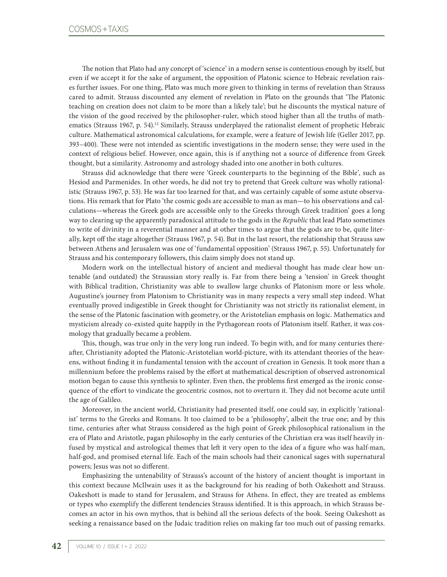The notion that Plato had any concept of 'science' in a modern sense is contentious enough by itself, but even if we accept it for the sake of argument, the opposition of Platonic science to Hebraic revelation raises further issues. For one thing, Plato was much more given to thinking in terms of revelation than Strauss cared to admit. Strauss discounted any element of revelation in Plato on the grounds that 'The Platonic teaching on creation does not claim to be more than a likely tale'; but he discounts the mystical nature of the vision of the good received by the philosopher-ruler, which stood higher than all the truths of mathematics (Strauss 1967, p. 54).<sup>12</sup> Similarly, Strauss underplayed the rationalist element of prophetic Hebraic culture. Mathematical astronomical calculations, for example, were a feature of Jewish life (Geller 2017, pp. 393–400). These were not intended as scientific investigations in the modern sense; they were used in the context of religious belief. However, once again, this is if anything not a source of difference from Greek thought, but a similarity. Astronomy and astrology shaded into one another in both cultures.

Strauss did acknowledge that there were 'Greek counterparts to the beginning of the Bible', such as Hesiod and Parmenides. In other words, he did not try to pretend that Greek culture was wholly rationalistic (Strauss 1967, p. 53). He was far too learned for that, and was certainly capable of some astute observations. His remark that for Plato 'the cosmic gods are accessible to man as man—to his observations and calculations—whereas the Greek gods are accessible only to the Greeks through Greek tradition' goes a long way to clearing up the apparently paradoxical attitude to the gods in the *Republic* that lead Plato sometimes to write of divinity in a reverential manner and at other times to argue that the gods are to be, quite literally, kept off the stage altogether (Strauss 1967, p. 54). But in the last resort, the relationship that Strauss saw between Athens and Jerusalem was one of 'fundamental opposition' (Strauss 1967, p. 55). Unfortunately for Strauss and his contemporary followers, this claim simply does not stand up.

Modern work on the intellectual history of ancient and medieval thought has made clear how untenable (and outdated) the Straussian story really is. Far from there being a 'tension' in Greek thought with Biblical tradition, Christianity was able to swallow large chunks of Platonism more or less whole. Augustine's journey from Platonism to Christianity was in many respects a very small step indeed. What eventually proved indigestible in Greek thought for Christianity was not strictly its rationalist element, in the sense of the Platonic fascination with geometry, or the Aristotelian emphasis on logic. Mathematics and mysticism already co-existed quite happily in the Pythagorean roots of Platonism itself. Rather, it was cosmology that gradually became a problem.

This, though, was true only in the very long run indeed. To begin with, and for many centuries thereafter, Christianity adopted the Platonic-Aristotelian world-picture, with its attendant theories of the heavens, without finding it in fundamental tension with the account of creation in Genesis. It took more than a millennium before the problems raised by the effort at mathematical description of observed astronomical motion began to cause this synthesis to splinter. Even then, the problems first emerged as the ironic consequence of the effort to vindicate the geocentric cosmos, not to overturn it. They did not become acute until the age of Galileo.

Moreover, in the ancient world, Christianity had presented itself, one could say, in explicitly 'rationalist' terms to the Greeks and Romans. It too claimed to be a 'philosophy', albeit the true one; and by this time, centuries after what Strauss considered as the high point of Greek philosophical rationalism in the era of Plato and Aristotle, pagan philosophy in the early centuries of the Christian era was itself heavily infused by mystical and astrological themes that left it very open to the idea of a figure who was half-man, half-god, and promised eternal life. Each of the main schools had their canonical sages with supernatural powers; Jesus was not so different.

Emphasizing the untenability of Strauss's account of the history of ancient thought is important in this context because McIlwain uses it as the background for his reading of both Oakeshott and Strauss. Oakeshott is made to stand for Jerusalem, and Strauss for Athens. In effect, they are treated as emblems or types who exemplify the different tendencies Strauss identified. It is this approach, in which Strauss becomes an actor in his own mythos, that is behind all the serious defects of the book. Seeing Oakeshott as seeking a renaissance based on the Judaic tradition relies on making far too much out of passing remarks.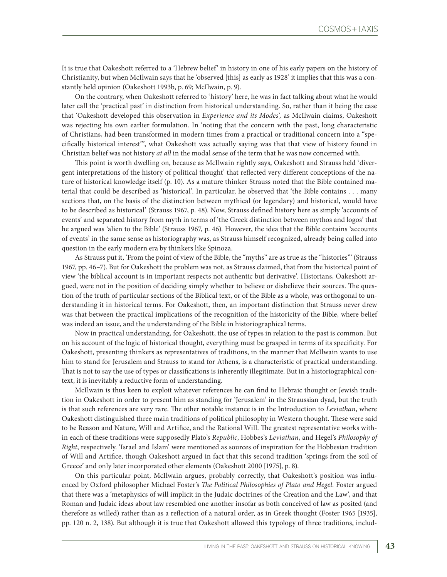It is true that Oakeshott referred to a 'Hebrew belief' in history in one of his early papers on the history of Christianity, but when McIlwain says that he 'observed [this] as early as 1928' it implies that this was a constantly held opinion (Oakeshott 1993b, p. 69; McIlwain, p. 9).

On the contrary, when Oakeshott referred to 'history' here, he was in fact talking about what he would later call the 'practical past' in distinction from historical understanding. So, rather than it being the case that 'Oakeshott developed this observation in *Experience and its Modes*'*,* as McIlwain claims, Oakeshott was rejecting his own earlier formulation. In 'noting that the concern with the past, long characteristic of Christians, had been transformed in modern times from a practical or traditional concern into a "specifically historical interest"', what Oakeshott was actually saying was that that view of history found in Christian belief was not history *at all* in the modal sense of the term that he was now concerned with.

This point is worth dwelling on, because as McIlwain rightly says, Oakeshott and Strauss held 'divergent interpretations of the history of political thought' that reflected very different conceptions of the nature of historical knowledge itself (p. 10). As a mature thinker Strauss noted that the Bible contained material that could be described as 'historical'. In particular, he observed that 'the Bible contains . . . many sections that, on the basis of the distinction between mythical (or legendary) and historical, would have to be described as historical' (Strauss 1967, p. 48). Now, Strauss defined history here as simply 'accounts of events' and separated history from myth in terms of 'the Greek distinction between mythos and logos' that he argued was 'alien to the Bible' (Strauss 1967, p. 46). However, the idea that the Bible contains 'accounts of events' in the same sense as historiography was, as Strauss himself recognized, already being called into question in the early modern era by thinkers like Spinoza.

As Strauss put it, 'From the point of view of the Bible, the "myths" are as true as the "histories"' (Strauss 1967, pp. 46–7). But for Oakeshott the problem was not, as Strauss claimed, that from the historical point of view 'the biblical account is in important respects not authentic but derivative'. Historians, Oakeshott argued, were not in the position of deciding simply whether to believe or disbelieve their sources. The question of the truth of particular sections of the Biblical text, or of the Bible as a whole, was orthogonal to understanding it in historical terms. For Oakeshott, then, an important distinction that Strauss never drew was that between the practical implications of the recognition of the historicity of the Bible, where belief was indeed an issue, and the understanding of the Bible in historiographical terms.

Now in practical understanding, for Oakeshott, the use of types in relation to the past is common. But on his account of the logic of historical thought, everything must be grasped in terms of its specificity. For Oakeshott, presenting thinkers as representatives of traditions, in the manner that McIlwain wants to use him to stand for Jerusalem and Strauss to stand for Athens, is a characteristic of practical understanding. That is not to say the use of types or classifications is inherently illegitimate. But in a historiographical context, it is inevitably a reductive form of understanding.

McIlwain is thus keen to exploit whatever references he can find to Hebraic thought or Jewish tradition in Oakeshott in order to present him as standing for 'Jerusalem' in the Straussian dyad, but the truth is that such references are very rare. The other notable instance is in the Introduction to *Leviathan*, where Oakeshott distinguished three main traditions of political philosophy in Western thought. These were said to be Reason and Nature, Will and Artifice, and the Rational Will. The greatest representative works within each of these traditions were supposedly Plato's *Republic*, Hobbes's *Leviathan*, and Hegel's *Philosophy of Right*, respectively. 'Israel and Islam' were mentioned as sources of inspiration for the Hobbesian tradition of Will and Artifice, though Oakeshott argued in fact that this second tradition 'springs from the soil of Greece' and only later incorporated other elements (Oakeshott 2000 [1975], p. 8).

On this particular point, McIlwain argues, probably correctly, that Oakeshott's position was influenced by Oxford philosopher Michael Foster's *The Political Philosophies of Plato and Hegel*. Foster argued that there was a 'metaphysics of will implicit in the Judaic doctrines of the Creation and the Law', and that Roman and Judaic ideas about law resembled one another insofar as both conceived of law as posited (and therefore as willed) rather than as a reflection of a natural order, as in Greek thought (Foster 1965 [1935], pp. 120 n. 2, 138). But although it is true that Oakeshott allowed this typology of three traditions, includ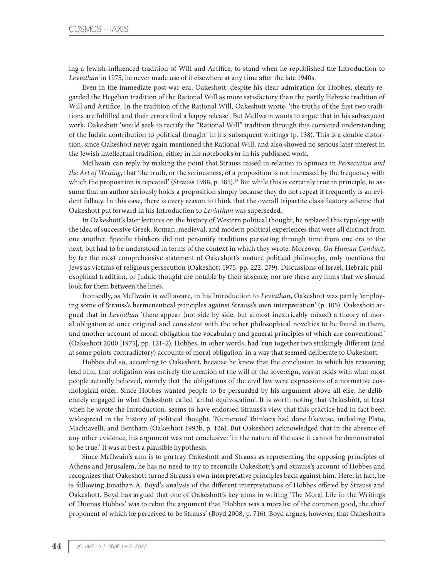ing a Jewish-influenced tradition of Will and Artifice, to stand when he republished the Introduction to *Leviathan* in 1975, he never made use of it elsewhere at any time after the late 1940s.

Even in the immediate post-war era, Oakeshott, despite his clear admiration for Hobbes, clearly regarded the Hegelian tradition of the Rational Will as more satisfactory than the partly Hebraic tradition of Will and Artifice. In the tradition of the Rational Will, Oakeshott wrote, 'the truths of the first two traditions are fulfilled and their errors find a happy release'. But McIlwain wants to argue that in his subsequent work, Oakeshott 'would seek to rectify the "Rational Will" tradition through this corrected understanding of the Judaic contribution to political thought' in his subsequent writings (p. 138). This is a double distortion, since Oakeshott never again mentioned the Rational Will, and also showed no serious later interest in the Jewish intellectual tradition, either in his notebooks or in his published work.

McIlwain can reply by making the point that Strauss raised in relation to Spinoza in *Persecution and the Art of Writing*, that 'the truth, or the seriousness, of a proposition is not increased by the frequency with which the proposition is repeated' (Strauss 1988, p. 185).<sup>13</sup> But while this is certainly true in principle, to assume that an author seriously holds a proposition simply because they do not repeat it frequently is an evident fallacy. In this case, there is every reason to think that the overall tripartite classificatory scheme that Oakeshott put forward in his Introduction to *Leviathan* was superseded.

In Oakeshott's later lectures on the history of Western political thought, he replaced this typology with the idea of successive Greek, Roman, medieval, and modern political experiences that were all distinct from one another. Specific thinkers did not personify traditions persisting through time from one era to the next, but had to be understood in terms of the context in which they wrote. Moreover, *On Human Conduct*, by far the most comprehensive statement of Oakeshott's mature political philosophy, only mentions the Jews as victims of religious persecution (Oakeshott 1975, pp. 222, 279). Discussions of Israel, Hebraic philosophical tradition, or Judaic thought are notable by their absence; nor are there any hints that we should look for them between the lines.

Ironically, as McIlwain is well aware, in his Introduction to *Leviathan*, Oakeshott was partly 'employing some of Strauss's hermeneutical principles against Strauss's own interpretation' (p. 105). Oakeshott argued that in *Leviathan* 'there appear (not side by side, but almost inextricably mixed) a theory of moral obligation at once original and consistent with the other philosophical novelties to be found in them, and another account of moral obligation the vocabulary and general principles of which are conventional' (Oakeshott 2000 [1975], pp. 121–2). Hobbes, in other words, had 'run together two strikingly different (and at some points contradictory) accounts of moral obligation' in a way that seemed deliberate to Oakeshott.

Hobbes did so, according to Oakeshott, because he knew that the conclusion to which his reasoning lead him, that obligation was entirely the creation of the will of the sovereign, was at odds with what most people actually believed, namely that the obligations of the civil law were expressions of a normative cosmological order. Since Hobbes wanted people to be persuaded by his argument above all else, he deliberately engaged in what Oakeshott called 'artful equivocation'. It is worth noting that Oakeshott, at least when he wrote the Introduction, seems to have endorsed Strauss's view that this practice had in fact been widespread in the history of political thought. 'Numerous' thinkers had done likewise, including Plato, Machiavelli, and Bentham (Oakeshott 1993b, p. 126). But Oakeshott acknowledged that in the absence of any other evidence, his argument was not conclusive: 'in the nature of the case it cannot be demonstrated to be true.' It was at best a plausible hypothesis.

Since McIlwain's aim is to portray Oakeshott and Strauss as representing the opposing principles of Athens and Jerusalem, he has no need to try to reconcile Oakeshott's and Strauss's account of Hobbes and recognizes that Oakeshott turned Strauss's own interpretative principles back against him. Here, in fact, he is following Jonathan A. Boyd's analysis of the different interpretations of Hobbes offered by Strauss and Oakeshott. Boyd has argued that one of Oakeshott's key aims in writing 'The Moral Life in the Writings of Thomas Hobbes' was to rebut the argument that 'Hobbes was a moralist of the common good, the chief proponent of which he perceived to be Strauss' (Boyd 2008, p. 716). Boyd argues, however, that Oakeshott's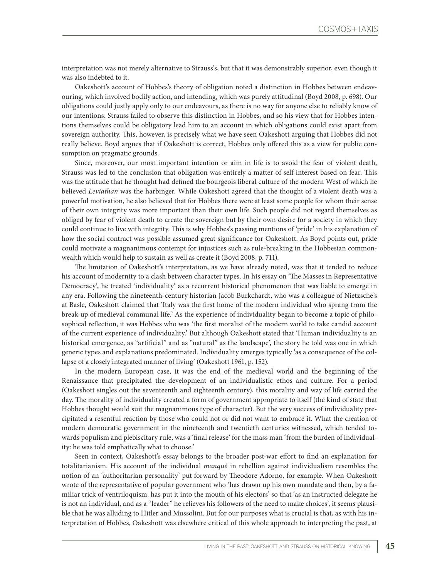interpretation was not merely alternative to Strauss's, but that it was demonstrably superior, even though it was also indebted to it.

Oakeshott's account of Hobbes's theory of obligation noted a distinction in Hobbes between endeavouring, which involved bodily action, and intending, which was purely attitudinal (Boyd 2008, p. 698). Our obligations could justly apply only to our endeavours, as there is no way for anyone else to reliably know of our intentions. Strauss failed to observe this distinction in Hobbes, and so his view that for Hobbes intentions themselves could be obligatory lead him to an account in which obligations could exist apart from sovereign authority. This, however, is precisely what we have seen Oakeshott arguing that Hobbes did not really believe. Boyd argues that if Oakeshott is correct, Hobbes only offered this as a view for public consumption on pragmatic grounds.

Since, moreover, our most important intention or aim in life is to avoid the fear of violent death, Strauss was led to the conclusion that obligation was entirely a matter of self-interest based on fear. This was the attitude that he thought had defined the bourgeois liberal culture of the modern West of which he believed *Leviathan* was the harbinger. While Oakeshott agreed that the thought of a violent death was a powerful motivation, he also believed that for Hobbes there were at least some people for whom their sense of their own integrity was more important than their own life. Such people did not regard themselves as obliged by fear of violent death to create the sovereign but by their own desire for a society in which they could continue to live with integrity. This is why Hobbes's passing mentions of 'pride' in his explanation of how the social contract was possible assumed great significance for Oakeshott. As Boyd points out, pride could motivate a magnanimous contempt for injustices such as rule-breaking in the Hobbesian commonwealth which would help to sustain as well as create it (Boyd 2008, p. 711).

The limitation of Oakeshott's interpretation, as we have already noted, was that it tended to reduce his account of modernity to a clash between character types. In his essay on 'The Masses in Representative Democracy', he treated 'individuality' as a recurrent historical phenomenon that was liable to emerge in any era. Following the nineteenth-century historian Jacob Burkchardt, who was a colleague of Nietzsche's at Basle, Oakeshott claimed that 'Italy was the first home of the modern individual who sprang from the break-up of medieval communal life.' As the experience of individuality began to become a topic of philosophical reflection, it was Hobbes who was 'the first moralist of the modern world to take candid account of the current experience of individuality.' But although Oakeshott stated that 'Human individuality is an historical emergence, as "artificial" and as "natural" as the landscape', the story he told was one in which generic types and explanations predominated. Individuality emerges typically 'as a consequence of the collapse of a closely integrated manner of living' (Oakeshott 1961, p. 152).

In the modern European case, it was the end of the medieval world and the beginning of the Renaissance that precipitated the development of an individualistic ethos and culture. For a period (Oakeshott singles out the seventeenth and eighteenth century), this morality and way of life carried the day. The morality of individuality created a form of government appropriate to itself (the kind of state that Hobbes thought would suit the magnanimous type of character). But the very success of individuality precipitated a resentful reaction by those who could not or did not want to embrace it. What the creation of modern democratic government in the nineteenth and twentieth centuries witnessed, which tended towards populism and plebiscitary rule, was a 'final release' for the mass man 'from the burden of individuality: he was told emphatically what to choose.'

Seen in context, Oakeshott's essay belongs to the broader post-war effort to find an explanation for totalitarianism. His account of the individual *manqué* in rebellion against individualism resembles the notion of an 'authoritarian personality' put forward by Theodore Adorno, for example. When Oakeshott wrote of the representative of popular government who 'has drawn up his own mandate and then, by a familiar trick of ventriloquism, has put it into the mouth of his electors' so that 'as an instructed delegate he is not an individual, and as a "leader" he relieves his followers of the need to make choices', it seems plausible that he was alluding to Hitler and Mussolini. But for our purposes what is crucial is that, as with his interpretation of Hobbes, Oakeshott was elsewhere critical of this whole approach to interpreting the past, at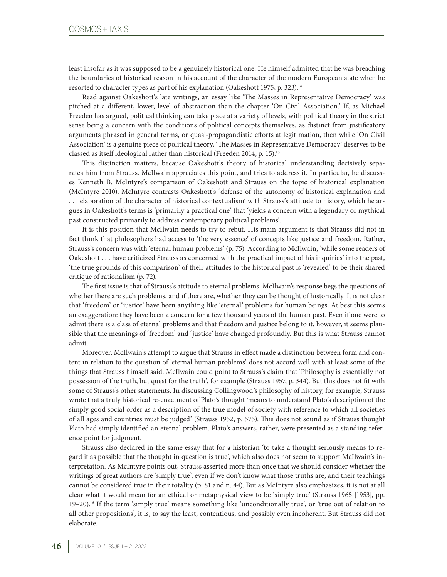least insofar as it was supposed to be a genuinely historical one. He himself admitted that he was breaching the boundaries of historical reason in his account of the character of the modern European state when he resorted to character types as part of his explanation (Oakeshott 1975, p. 323).<sup>14</sup>

Read against Oakeshott's late writings, an essay like 'The Masses in Representative Democracy' was pitched at a different, lower, level of abstraction than the chapter 'On Civil Association.' If, as Michael Freeden has argued, political thinking can take place at a variety of levels, with political theory in the strict sense being a concern with the conditions of political concepts themselves, as distinct from justificatory arguments phrased in general terms, or quasi-propagandistic efforts at legitimation, then while 'On Civil Association' is a genuine piece of political theory, 'The Masses in Representative Democracy' deserves to be classed as itself ideological rather than historical (Freeden 2014, p. 15).15

This distinction matters, because Oakeshott's theory of historical understanding decisively separates him from Strauss. McIlwain appreciates this point, and tries to address it. In particular, he discusses Kenneth B. McIntyre's comparison of Oakeshott and Strauss on the topic of historical explanation (McIntyre 2010). McIntyre contrasts Oakeshott's 'defense of the autonomy of historical explanation and . . . elaboration of the character of historical contextualism' with Strauss's attitude to history, which he argues in Oakeshott's terms is 'primarily a practical one' that 'yields a concern with a legendary or mythical past constructed primarily to address contemporary political problems'.

It is this position that McIlwain needs to try to rebut. His main argument is that Strauss did not in fact think that philosophers had access to 'the very essence' of concepts like justice and freedom. Rather, Strauss's concern was with 'eternal human problems' (p. 75). According to McIlwain, 'while some readers of Oakeshott . . . have criticized Strauss as concerned with the practical impact of his inquiries' into the past, 'the true grounds of this comparison' of their attitudes to the historical past is 'revealed' to be their shared critique of rationalism (p. 72).

The first issue is that of Strauss's attitude to eternal problems. McIlwain's response begs the questions of whether there are such problems, and if there are, whether they can be thought of historically. It is not clear that 'freedom' or 'justice' have been anything like 'eternal' problems for human beings. At best this seems an exaggeration: they have been a concern for a few thousand years of the human past. Even if one were to admit there is a class of eternal problems and that freedom and justice belong to it, however, it seems plausible that the meanings of 'freedom' and 'justice' have changed profoundly. But this is what Strauss cannot admit.

Moreover, McIlwain's attempt to argue that Strauss in effect made a distinction between form and content in relation to the question of 'eternal human problems' does not accord well with at least some of the things that Strauss himself said. McIlwain could point to Strauss's claim that 'Philosophy is essentially not possession of the truth, but quest for the truth', for example (Strauss 1957, p. 344). But this does not fit with some of Strauss's other statements. In discussing Collingwood's philosophy of history, for example, Strauss wrote that a truly historical re-enactment of Plato's thought 'means to understand Plato's description of the simply good social order as a description of the true model of society with reference to which all societies of all ages and countries must be judged' (Strauss 1952, p. 575). This does not sound as if Strauss thought Plato had simply identified an eternal problem. Plato's answers, rather, were presented as a standing reference point for judgment.

Strauss also declared in the same essay that for a historian 'to take a thought seriously means to regard it as possible that the thought in question is true', which also does not seem to support McIlwain's interpretation. As McIntyre points out, Strauss asserted more than once that we should consider whether the writings of great authors are 'simply true', even if we don't know what those truths are, and their teachings cannot be considered true in their totality (p. 81 and n. 44). But as McIntyre also emphasizes, it is not at all clear what it would mean for an ethical or metaphysical view to be 'simply true' (Strauss 1965 [1953], pp. 19–20).16 If the term 'simply true' means something like 'unconditionally true', or 'true out of relation to all other propositions', it is, to say the least, contentious, and possibly even incoherent. But Strauss did not elaborate.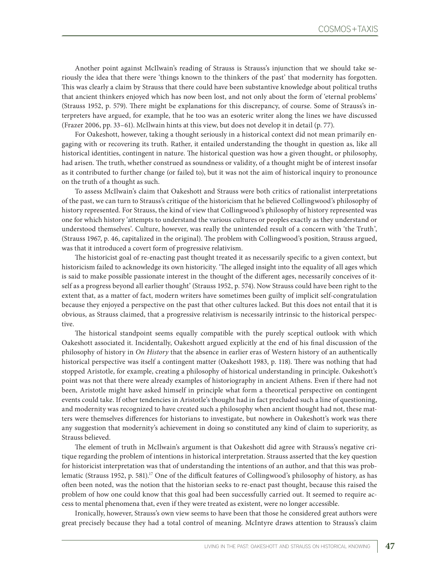Another point against McIlwain's reading of Strauss is Strauss's injunction that we should take seriously the idea that there were 'things known to the thinkers of the past' that modernity has forgotten. This was clearly a claim by Strauss that there could have been substantive knowledge about political truths that ancient thinkers enjoyed which has now been lost, and not only about the form of 'eternal problems' (Strauss 1952, p. 579). There might be explanations for this discrepancy, of course. Some of Strauss's interpreters have argued, for example, that he too was an esoteric writer along the lines we have discussed (Frazer 2006, pp. 33–61). McIlwain hints at this view, but does not develop it in detail (p. 77).

For Oakeshott, however, taking a thought seriously in a historical context did not mean primarily engaging with or recovering its truth. Rather, it entailed understanding the thought in question as, like all historical identities, contingent in nature. The historical question was how a given thought, or philosophy, had arisen. The truth, whether construed as soundness or validity, of a thought might be of interest insofar as it contributed to further change (or failed to), but it was not the aim of historical inquiry to pronounce on the truth of a thought as such.

To assess McIlwain's claim that Oakeshott and Strauss were both critics of rationalist interpretations of the past, we can turn to Strauss's critique of the historicism that he believed Collingwood's philosophy of history represented. For Strauss, the kind of view that Collingwood's philosophy of history represented was one for which history 'attempts to understand the various cultures or peoples exactly as they understand or understood themselves'. Culture, however, was really the unintended result of a concern with 'the Truth', (Strauss 1967, p. 46, capitalized in the original). The problem with Collingwood's position, Strauss argued, was that it introduced a covert form of progressive relativism.

The historicist goal of re-enacting past thought treated it as necessarily specific to a given context, but historicism failed to acknowledge its own historicity. 'The alleged insight into the equality of all ages which is said to make possible passionate interest in the thought of the different ages, necessarily conceives of itself as a progress beyond all earlier thought' (Strauss 1952, p. 574). Now Strauss could have been right to the extent that, as a matter of fact, modern writers have sometimes been guilty of implicit self-congratulation because they enjoyed a perspective on the past that other cultures lacked. But this does not entail that it is obvious, as Strauss claimed, that a progressive relativism is necessarily intrinsic to the historical perspective.

The historical standpoint seems equally compatible with the purely sceptical outlook with which Oakeshott associated it. Incidentally, Oakeshott argued explicitly at the end of his final discussion of the philosophy of history in *On History* that the absence in earlier eras of Western history of an authentically historical perspective was itself a contingent matter (Oakeshott 1983, p. 118). There was nothing that had stopped Aristotle, for example, creating a philosophy of historical understanding in principle. Oakeshott's point was not that there were already examples of historiography in ancient Athens. Even if there had not been, Aristotle might have asked himself in principle what form a theoretical perspective on contingent events could take. If other tendencies in Aristotle's thought had in fact precluded such a line of questioning, and modernity was recognized to have created such a philosophy when ancient thought had not, these matters were themselves differences for historians to investigate, but nowhere in Oakeshott's work was there any suggestion that modernity's achievement in doing so constituted any kind of claim to superiority, as Strauss believed.

The element of truth in McIlwain's argument is that Oakeshott did agree with Strauss's negative critique regarding the problem of intentions in historical interpretation. Strauss asserted that the key question for historicist interpretation was that of understanding the intentions of an author, and that this was problematic (Strauss 1952, p. 581).<sup>17</sup> One of the difficult features of Collingwood's philosophy of history, as has often been noted, was the notion that the historian seeks to re-enact past thought, because this raised the problem of how one could know that this goal had been successfully carried out. It seemed to require access to mental phenomena that, even if they were treated as existent, were no longer accessible.

Ironically, however, Strauss's own view seems to have been that those he considered great authors were great precisely because they had a total control of meaning. McIntyre draws attention to Strauss's claim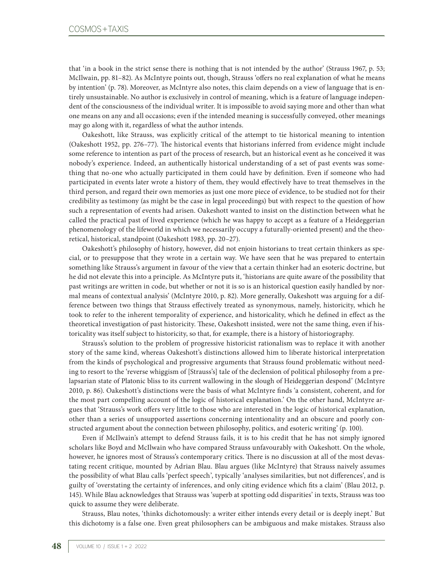that 'in a book in the strict sense there is nothing that is not intended by the author' (Strauss 1967, p. 53; McIlwain, pp. 81–82). As McIntyre points out, though, Strauss 'offers no real explanation of what he means by intention' (p. 78). Moreover, as McIntyre also notes, this claim depends on a view of language that is entirely unsustainable. No author is exclusively in control of meaning, which is a feature of language independent of the consciousness of the individual writer. It is impossible to avoid saying more and other than what one means on any and all occasions; even if the intended meaning is successfully conveyed, other meanings may go along with it, regardless of what the author intends.

Oakeshott, like Strauss, was explicitly critical of the attempt to tie historical meaning to intention (Oakeshott 1952, pp. 276–77). The historical events that historians inferred from evidence might include some reference to intention as part of the process of research, but an historical event as he conceived it was nobody's experience. Indeed, an authentically historical understanding of a set of past events was something that no-one who actually participated in them could have by definition. Even if someone who had participated in events later wrote a history of them, they would effectively have to treat themselves in the third person, and regard their own memories as just one more piece of evidence, to be studied not for their credibility as testimony (as might be the case in legal proceedings) but with respect to the question of how such a representation of events had arisen. Oakeshott wanted to insist on the distinction between what he called the practical past of lived experience (which he was happy to accept as a feature of a Heideggerian phenomenology of the lifeworld in which we necessarily occupy a futurally-oriented present) and the theoretical, historical, standpoint (Oakeshott 1983*,* pp. 20–27).

Oakeshott's philosophy of history, however, did not enjoin historians to treat certain thinkers as special, or to presuppose that they wrote in a certain way. We have seen that he was prepared to entertain something like Strauss's argument in favour of the view that a certain thinker had an esoteric doctrine, but he did not elevate this into a principle. As McIntyre puts it, 'historians are quite aware of the possibility that past writings are written in code, but whether or not it is so is an historical question easily handled by normal means of contextual analysis' (McIntyre 2010, p. 82). More generally, Oakeshott was arguing for a difference between two things that Strauss effectively treated as synonymous, namely, historicity, which he took to refer to the inherent temporality of experience, and historicality, which he defined in effect as the theoretical investigation of past historicity. These, Oakeshott insisted, were not the same thing, even if historicality was itself subject to historicity, so that, for example, there is a history of historiography.

Strauss's solution to the problem of progressive historicist rationalism was to replace it with another story of the same kind, whereas Oakeshott's distinctions allowed him to liberate historical interpretation from the kinds of psychological and progressive arguments that Strauss found problematic without needing to resort to the 'reverse whiggism of [Strauss's] tale of the declension of political philosophy from a prelapsarian state of Platonic bliss to its current wallowing in the slough of Heideggerian despond' (McIntyre 2010, p. 86). Oakeshott's distinctions were the basis of what McIntyre finds 'a consistent, coherent, and for the most part compelling account of the logic of historical explanation.' On the other hand, McIntyre argues that 'Strauss's work offers very little to those who are interested in the logic of historical explanation, other than a series of unsupported assertions concerning intentionality and an obscure and poorly constructed argument about the connection between philosophy, politics, and esoteric writing' (p. 100).

Even if McIlwain's attempt to defend Strauss fails, it is to his credit that he has not simply ignored scholars like Boyd and McIlwain who have compared Strauss unfavourably with Oakeshott. On the whole, however, he ignores most of Strauss's contemporary critics. There is no discussion at all of the most devastating recent critique, mounted by Adrian Blau. Blau argues (like McIntyre) that Strauss naively assumes the possibility of what Blau calls 'perfect speech', typically 'analyses similarities, but not differences', and is guilty of 'overstating the certainty of inferences, and only citing evidence which fits a claim' (Blau 2012, p. 145). While Blau acknowledges that Strauss was 'superb at spotting odd disparities' in texts, Strauss was too quick to assume they were deliberate.

Strauss, Blau notes, 'thinks dichotomously: a writer either intends every detail or is deeply inept.' But this dichotomy is a false one. Even great philosophers can be ambiguous and make mistakes. Strauss also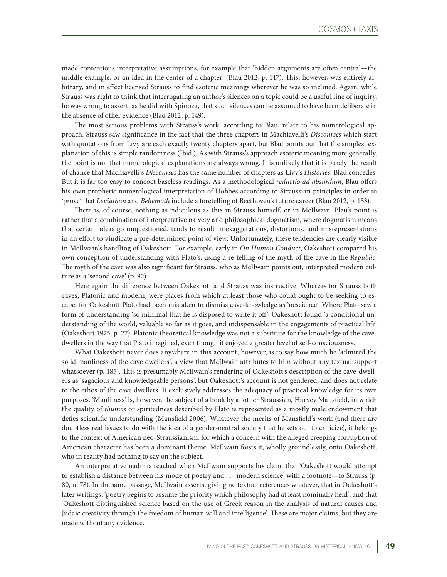made contentious interpretative assumptions, for example that 'hidden arguments are often central—the middle example, or an idea in the center of a chapter' (Blau 2012, p. 147). This, however, was entirely arbitrary, and in effect licensed Strauss to find esoteric meanings wherever he was so inclined. Again, while Strauss was right to think that interrogating an author's silences on a topic could be a useful line of inquiry, he was wrong to assert, as he did with Spinoza, that such silences can be assumed to have been deliberate in the absence of other evidence (Blau 2012, p. 149).

The most serious problems with Strauss's work, according to Blau, relate to his numerological approach. Strauss saw significance in the fact that the three chapters in Machiavelli's *Discourses* which start with quotations from Livy are each exactly twenty chapters apart, but Blau points out that the simplest explanation of this is simple randomness (Ibid.). As with Strauss's approach esoteric meaning more generally, the point is not that numerological explanations are always wrong. It is unlikely that it is purely the result of chance that Machiavelli's *Discourses* has the same number of chapters as Livy's *Histories*, Blau concedes. But it is far too easy to concoct baseless readings. As a methodological *reductio ad absurdum*, Blau offers his own prophetic numerological interpretation of Hobbes according to Straussian principles in order to 'prove' that *Leviathan* and *Behemoth* include a foretelling of Beethoven's future career (Blau 2012, p. 153).

There is, of course, nothing as ridiculous as this in Strauss himself, or in McIlwain. Blau's point is rather that a combination of interpretative naivety and philosophical dogmatism, where dogmatism means that certain ideas go unquestioned, tends to result in exaggerations, distortions, and misrepresentations in an effort to vindicate a pre-determined point of view. Unfortunately, these tendencies are clearly visible in McIlwain's handling of Oakeshott. For example, early in *On Human Conduct*, Oakeshott compared his own conception of understanding with Plato's, using a re-telling of the myth of the cave in the *Republic*. The myth of the cave was also significant for Strauss, who as McIlwain points out, interpreted modern culture as a 'second cave' (p. 92).

Here again the difference between Oakeshott and Strauss was instructive. Whereas for Strauss both caves, Platonic and modern, were places from which at least those who could ought to be seeking to escape, for Oakeshott Plato had been mistaken to dismiss cave-knowledge as 'nescience'. Where Plato saw a form of understanding 'so minimal that he is disposed to write it off', Oakeshott found 'a conditional understanding of the world, valuable so far as it goes, and indispensable in the engagements of practical life' (Oakeshott 1975, p. 27). Platonic theoretical knowledge was not a substitute for the knowledge of the cavedwellers in the way that Plato imagined, even though it enjoyed a greater level of self-consciousness.

What Oakeshott never does anywhere in this account, however, is to say how much he 'admired the solid manliness of the cave dwellers', a view that McIlwain attributes to him without any textual support whatsoever (p. 185). This is presumably McIlwain's rendering of Oakeshott's description of the cave-dwellers as 'sagacious and knowledgeable persons', but Oakeshott's account is not gendered, and does not relate to the ethos of the cave dwellers. It exclusively addresses the adequacy of practical knowledge for its own purposes. 'Manliness' is, however, the subject of a book by another Straussian, Harvey Mansfield, in which the quality of *thumos* or spiritedness described by Plato is represented as a mostly male endowment that defies scientific understanding (Mansfield 2006). Whatever the merits of Mansfield's work (and there are doubtless real issues to do with the idea of a gender-neutral society that he sets out to criticize), it belongs to the context of American neo-Straussianism, for which a concern with the alleged creeping corruption of American character has been a dominant theme. McIlwain foists it, wholly groundlessly, onto Oakeshott, who in reality had nothing to say on the subject.

An interpretative nadir is reached when McIlwain supports his claim that 'Oakeshott would attempt to establish a distance between his mode of poetry and . . . modern science' with a footnote—to Strauss (p. 80, n. 78). In the same passage, McIlwain asserts, giving no textual references whatever, that in Oakeshott's later writings, 'poetry begins to assume the priority which philosophy had at least nominally held', and that 'Oakeshott distinguished science based on the use of Greek reason in the analysis of natural causes and Judaic creativity through the freedom of human will and intelligence'. These are major claims, but they are made without any evidence.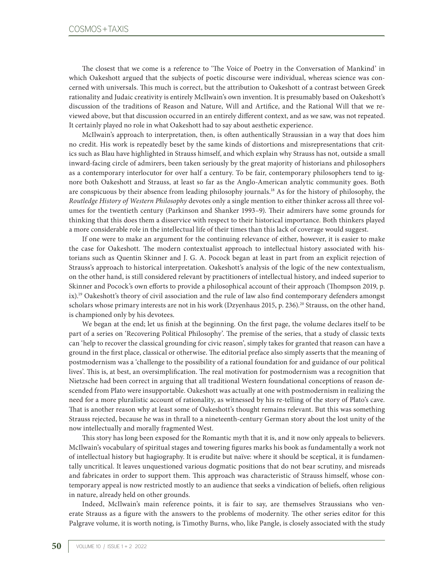The closest that we come is a reference to 'The Voice of Poetry in the Conversation of Mankind' in which Oakeshott argued that the subjects of poetic discourse were individual, whereas science was concerned with universals. This much is correct, but the attribution to Oakeshott of a contrast between Greek rationality and Judaic creativity is entirely McIlwain's own invention. It is presumably based on Oakeshott's discussion of the traditions of Reason and Nature, Will and Artifice, and the Rational Will that we reviewed above, but that discussion occurred in an entirely different context, and as we saw, was not repeated. It certainly played no role in what Oakeshott had to say about aesthetic experience.

McIlwain's approach to interpretation, then, is often authentically Straussian in a way that does him no credit. His work is repeatedly beset by the same kinds of distortions and misrepresentations that critics such as Blau have highlighted in Strauss himself, and which explain why Strauss has not, outside a small inward-facing circle of admirers, been taken seriously by the great majority of historians and philosophers as a contemporary interlocutor for over half a century. To be fair, contemporary philosophers tend to ignore both Oakeshott and Strauss, at least so far as the Anglo-American analytic community goes. Both are conspicuous by their absence from leading philosophy journals.18 As for the history of philosophy, the *Routledge History of Western Philosophy* devotes only a single mention to either thinker across all three volumes for the twentieth century (Parkinson and Shanker 1993–9). Their admirers have some grounds for thinking that this does them a disservice with respect to their historical importance. Both thinkers played a more considerable role in the intellectual life of their times than this lack of coverage would suggest.

If one were to make an argument for the continuing relevance of either, however, it is easier to make the case for Oakeshott. The modern contextualist approach to intellectual history associated with historians such as Quentin Skinner and J. G. A. Pocock began at least in part from an explicit rejection of Strauss's approach to historical interpretation. Oakeshott's analysis of the logic of the new contextualism, on the other hand, is still considered relevant by practitioners of intellectual history, and indeed superior to Skinner and Pocock's own efforts to provide a philosophical account of their approach (Thompson 2019, p. ix).<sup>19</sup> Oakeshott's theory of civil association and the rule of law also find contemporary defenders amongst scholars whose primary interests are not in his work (Dzyenhaus 2015, p. 236).<sup>20</sup> Strauss, on the other hand, is championed only by his devotees.

We began at the end; let us finish at the beginning. On the first page, the volume declares itself to be part of a series on 'Recovering Political Philosophy'. The premise of the series, that a study of classic texts can 'help to recover the classical grounding for civic reason', simply takes for granted that reason can have a ground in the first place, classical or otherwise. The editorial preface also simply asserts that the meaning of postmodernism was a 'challenge to the possibility of a rational foundation for and guidance of our political lives'. This is, at best, an oversimplification. The real motivation for postmodernism was a recognition that Nietzsche had been correct in arguing that all traditional Western foundational conceptions of reason descended from Plato were insupportable. Oakeshott was actually at one with postmodernism in realizing the need for a more pluralistic account of rationality, as witnessed by his re-telling of the story of Plato's cave. That is another reason why at least some of Oakeshott's thought remains relevant. But this was something Strauss rejected, because he was in thrall to a nineteenth-century German story about the lost unity of the now intellectually and morally fragmented West.

This story has long been exposed for the Romantic myth that it is, and it now only appeals to believers. McIlwain's vocabulary of spiritual stages and towering figures marks his book as fundamentally a work not of intellectual history but hagiography. It is erudite but naïve: where it should be sceptical, it is fundamentally uncritical. It leaves unquestioned various dogmatic positions that do not bear scrutiny, and misreads and fabricates in order to support them. This approach was characteristic of Strauss himself, whose contemporary appeal is now restricted mostly to an audience that seeks a vindication of beliefs, often religious in nature, already held on other grounds.

Indeed, McIlwain's main reference points, it is fair to say, are themselves Straussians who venerate Strauss as a figure with the answers to the problems of modernity. The other series editor for this Palgrave volume, it is worth noting, is Timothy Burns, who, like Pangle, is closely associated with the study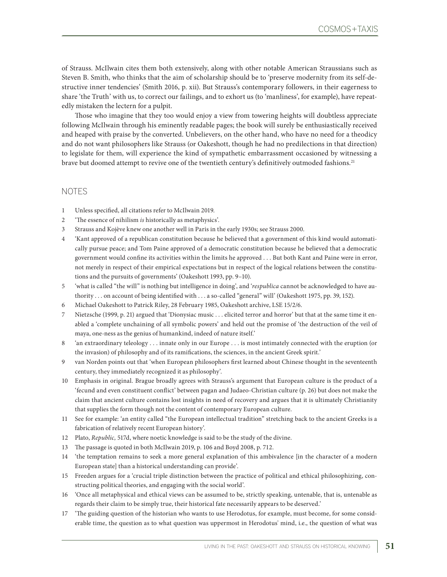of Strauss. McIlwain cites them both extensively, along with other notable American Straussians such as Steven B. Smith, who thinks that the aim of scholarship should be to 'preserve modernity from its self-destructive inner tendencies' (Smith 2016, p. xii). But Strauss's contemporary followers, in their eagerness to share 'the Truth' with us, to correct our failings, and to exhort us (to 'manliness', for example), have repeatedly mistaken the lectern for a pulpit.

Those who imagine that they too would enjoy a view from towering heights will doubtless appreciate following McIlwain through his eminently readable pages; the book will surely be enthusiastically received and heaped with praise by the converted. Unbelievers, on the other hand, who have no need for a theodicy and do not want philosophers like Strauss (or Oakeshott, though he had no predilections in that direction) to legislate for them, will experience the kind of sympathetic embarrassment occasioned by witnessing a brave but doomed attempt to revive one of the twentieth century's definitively outmoded fashions.<sup>21</sup>

## NOTES

- 1 Unless specified, all citations refer to McIlwain 2019.
- 2 'The essence of nihilism *is* historically as metaphysics'.
- 3 Strauss and Kojève knew one another well in Paris in the early 1930s; see Strauss 2000.
- 4 'Kant approved of a republican constitution because he believed that a government of this kind would automatically pursue peace; and Tom Paine approved of a democratic constitution because he believed that a democratic government would confine its activities within the limits he approved . . . But both Kant and Paine were in error, not merely in respect of their empirical expectations but in respect of the logical relations between the constitutions and the pursuits of governments' (Oakeshott 1993, pp. 9–10).
- 5 'what is called "the will" is nothing but intelligence in doing', and '*respublica* cannot be acknowledged to have authority . . . on account of being identified with . . . a so-called "general" will' (Oakeshott 1975, pp. 39, 152).
- 6 Michael Oakeshott to Patrick Riley, 28 February 1985, Oakeshott archive, LSE 15/2/6.
- 7 Nietzsche (1999, p. 21) argued that 'Dionysiac music . . . elicited terror and horror' but that at the same time it enabled a 'complete unchaining of all symbolic powers' and held out the promise of 'the destruction of the veil of maya, one-ness as the genius of humankind, indeed of nature itself.'
- 8 'an extraordinary teleology . . . innate only in our Europe . . . is most intimately connected with the eruption (or the invasion) of philosophy and of its ramifications, the sciences, in the ancient Greek spirit.'
- 9 van Norden points out that 'when European philosophers first learned about Chinese thought in the seventeenth century, they immediately recognized it as philosophy'.
- 10 Emphasis in original. Brague broadly agrees with Strauss's argument that European culture is the product of a 'fecund and even constituent conflict' between pagan and Judaeo-Christian culture (p. 26) but does not make the claim that ancient culture contains lost insights in need of recovery and argues that it is ultimately Christianity that supplies the form though not the content of contemporary European culture.
- 11 See for example: 'an entity called "the European intellectual tradition" stretching back to the ancient Greeks is a fabrication of relatively recent European history'.
- 12 Plato, *Republic,* 517d, where noetic knowledge is said to be the study of the divine.
- 13 The passage is quoted in both McIlwain 2019, p. 106 and Boyd 2008, p. 712.
- 14 'the temptation remains to seek a more general explanation of this ambivalence [in the character of a modern European state] than a historical understanding can provide'.
- 15 Freeden argues for a 'crucial triple distinction between the practice of political and ethical philosophizing, constructing political theories, and engaging with the social world'.
- 16 'Once all metaphysical and ethical views can be assumed to be, strictly speaking, untenable, that is, untenable as regards their claim to be simply true, their historical fate necessarily appears to be deserved.'
- 17 'The guiding question of the historian who wants to use Herodotus, for example, must become, for some considerable time, the question as to what question was uppermost in Herodotus' mind, i.e., the question of what was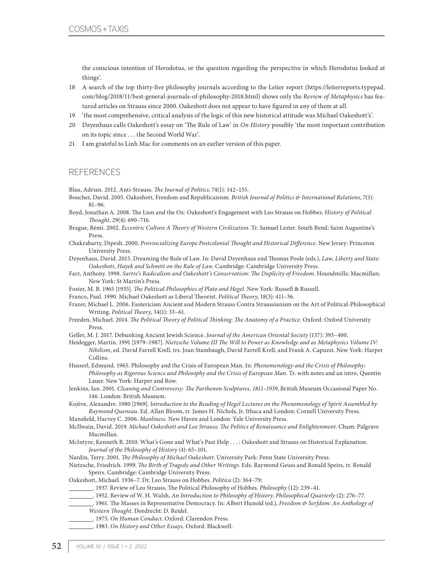the conscious intention of Herodotus, or the question regarding the perspective in which Herodotus looked at things'.

- 18 A search of the top thirty-five philosophy journals according to the Leiter report [\(https://leiterreports.typepad.](https://leiterreports.typepad.com/blog/2018/11/best-general-journals-of-philosophy-2018.html) [com/blog/2018/11/best-general-journals-of-philosophy-2018.html\)](https://leiterreports.typepad.com/blog/2018/11/best-general-journals-of-philosophy-2018.html) shows only the *Review of Metaphysics* has featured articles on Strauss since 2000. Oakeshott does not appear to have figured in any of them at all.
- 19 'the most comprehensive, critical analysis of the logic of this new historical attitude was Michael Oakeshott's'.
- 20 Dzyenhaus calls Oakeshott's essay on 'The Rule of Law' in *On History* possibly 'the most important contribution on its topic since . . . the Second World War'.
- 21 I am grateful to Linh Mac for comments on an earlier version of this paper.

## **REFERENCES**

Blau, Adrian. 2012. Anti-Strauss. *The Journal of Politics*, 74(1): 142–155.

- Boucher, David. 2005. Oakeshott, Freedom and Republicanism. *British Journal of Politics & International Relations*, 7(1): 81–96.
- Boyd, Jonathan A. 2008. The Lion and the Ox: Oakeshott's Engagement with Leo Strauss on Hobbes. *History of Political Thought*, 29(4): 690–716.
- Brague, Rémi. 2002. *Eccentric Culture A Theory of Western Civilization*. Tr. Samuel Lester. South Bend: Saint Augustine's Press.
- Chakrabarty, Dipesh. 2000. *Provincializing Europe Postcolonial Thought and Historical Difference.* New Jersey: Princeton University Press.
- Dzyenhaus, David. 2015. Dreaming the Rule of Law. In: David Dzyenhaus and Thomas Poole (eds.), *Law, Liberty and State: Oakeshott, Hayek and Schmitt on the Rule of Law*. Cambridge: Cambridge University Press.
- Farr, Anthony. 1998. *Sartre's Radicalism and Oakeshott's Conservatism: The Duplicity of Freedom*. Houndmills: Macmillan; New York: St Martin's Press.
- Foster, M. B. 1965 [1935]. *The Political Philosophies of Plato and Hegel.* New York: Russell & Russell.
- Franco, Paul. 1990. Michael Oakeshott as Liberal Theorist. *Political Theory*, 18(3): 411–36.
- Frazer, Michael L. 2006. Esotericism Ancient and Modern Strauss Contra Straussianism on the Art of Political-Philosophical Writing. *Political Theory*, 34(1): 33–61.
- Freeden, Michael. 2014. *The Political Theory of Political Thinking: The Anatomy of a Practice*. Oxford: Oxford University Press.
- Geller, M. J. 2017. Debunking Ancient Jewish Science. *Journal of the American Oriental Society* (137): 393–400.
- Heidegger, Martin. 1991 [1979–1987]. *Nietzsche Volume III The Will to Power as Knowledge and as Metaphysics Volume IV: Nihilism*, ed. David Farrell Krell, trs. Joan Stambaugh, David Farrell Krell, and Frank A. Capuzzi. New York: Harper Collins.
- Husserl, Edmund. 1965. Philosophy and the Crisis of European Man. In: *Phenomenology and the Crisis of Philosophy: Philosophy as Rigorous Science and Philosophy and the Crisis of European Man*. Tr. with notes and an intro, Quentin Lauer. New York: Harper and Row.
- Jenkins, Ian. 2001. *Cleaning and Controversy: The Parthenon Sculptures, 1811–1939*, British Museum Occasional Paper No. 146. London: British Museum.
- Kojève, Alexandre. 1980 [1969]. *Introduction to the Reading of Hegel Lectures on the Phenomenology of Spirit Assembled by Raymond Queneau*. Ed. Allan Bloom, tr. James H. Nichols, Jr. Ithaca and London: Cornell University Press.
- Mansfield, Harvey C. 2006. *Manliness.* New Haven and London: Yale University Press.
- McIlwain, David. 2019. *Michael Oakeshott and Leo Strauss; The Politics of Renaissance and Enlightenment*. Cham: Palgrave Macmillan.
- McIntyre, Kenneth B. 2010. What's Gone and What's Past Help . . . : Oakeshott and Strauss on Historical Explanation. *Journal of the Philosophy of History* (4): 65–101.
- Nardin, Terry. 2001. *The Philosophy of Michael Oakeshott*. University Park: Penn State University Press.
- Nietzsche, Friedrich. 1999. *The Birth of Tragedy and Other Writings*. Eds. Raymond Geuss and Ronald Speirs, tr. Ronald Speirs. Cambridge: Cambridge University Press.
- Oakeshott, Michael. 1936–7. Dr. Leo Strauss on Hobbes. *Politica* (2): 364–79;
- . 1937. Review of Leo Strauss, The Political Philosophy of Hobbes. *Philosophy* (12): 239–41.
- . 1952. Review of W. H. Walsh, *An Introduction to Philosophy of History*. *Philosophical Quarterly* (2): 276–77.
- . 1961. The Masses in Representative Democracy. In: Albert Hunold (ed.), *Freedom & Serfdom: An Anthology of Western Thought*. Dordrecht: D. Reidel.
- . 1975. *On Human Conduct*. Oxford: Clarendon Press.
- . 1983. *On History and Other Essays.* Oxford: Blackwell.